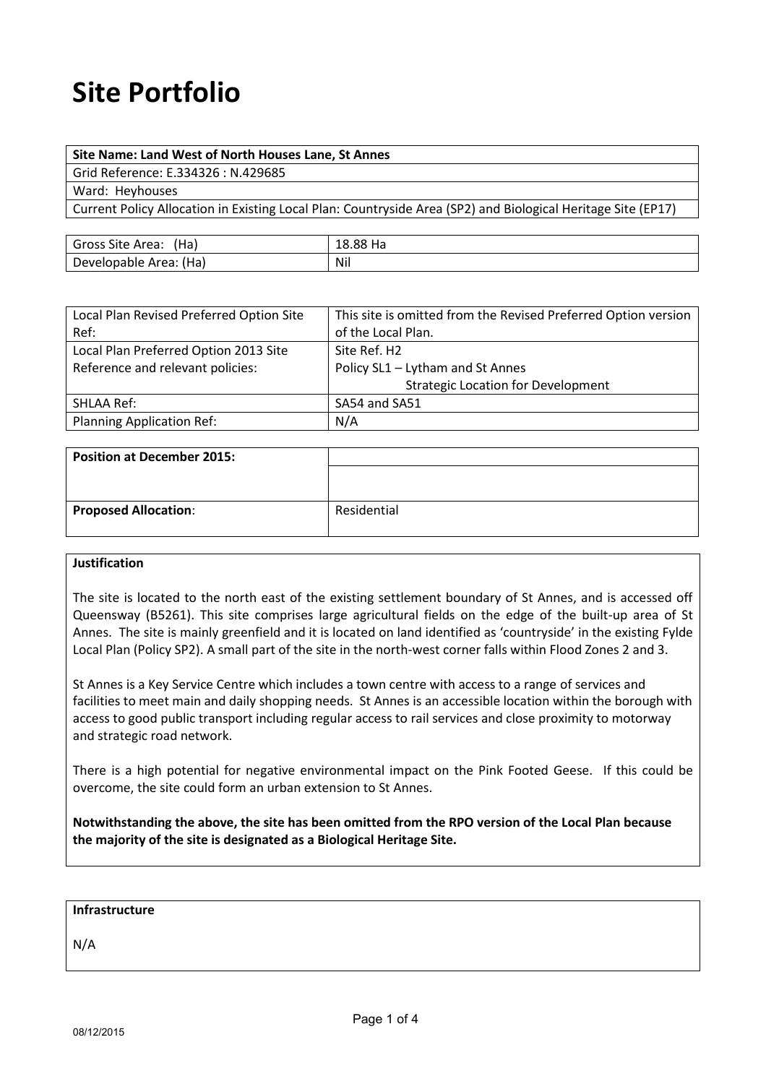# **Site Portfolio**

### **Site Name: Land West of North Houses Lane, St Annes**

Grid Reference: E.334326 : N.429685

Ward: Heyhouses

Current Policy Allocation in Existing Local Plan: Countryside Area (SP2) and Biological Heritage Site (EP17)

| 'Ha,<br><b>Gross Site Area:</b> | 00.<br>пd<br>10.00 |
|---------------------------------|--------------------|
| 'Ha)<br>Developable<br>Area:    | Nil                |

| Local Plan Revised Preferred Option Site | This site is omitted from the Revised Preferred Option version |
|------------------------------------------|----------------------------------------------------------------|
| Ref:                                     | of the Local Plan.                                             |
| Local Plan Preferred Option 2013 Site    | Site Ref. H2                                                   |
| Reference and relevant policies:         | Policy SL1 - Lytham and St Annes                               |
|                                          | <b>Strategic Location for Development</b>                      |
| SHLAA Ref:                               | SA54 and SA51                                                  |
| <b>Planning Application Ref:</b>         | N/A                                                            |

| <b>Position at December 2015:</b> |             |
|-----------------------------------|-------------|
|                                   |             |
|                                   |             |
| <b>Proposed Allocation:</b>       | Residential |

#### **Justification**

The site is located to the north east of the existing settlement boundary of St Annes, and is accessed off Queensway (B5261). This site comprises large agricultural fields on the edge of the built-up area of St Annes. The site is mainly greenfield and it is located on land identified as 'countryside' in the existing Fylde Local Plan (Policy SP2). A small part of the site in the north-west corner falls within Flood Zones 2 and 3.

St Annes is a Key Service Centre which includes a town centre with access to a range of services and facilities to meet main and daily shopping needs. St Annes is an accessible location within the borough with access to good public transport including regular access to rail services and close proximity to motorway and strategic road network.

There is a high potential for negative environmental impact on the Pink Footed Geese. If this could be overcome, the site could form an urban extension to St Annes.

**Notwithstanding the above, the site has been omitted from the RPO version of the Local Plan because the majority of the site is designated as a Biological Heritage Site.**

#### **Infrastructure**

N/A